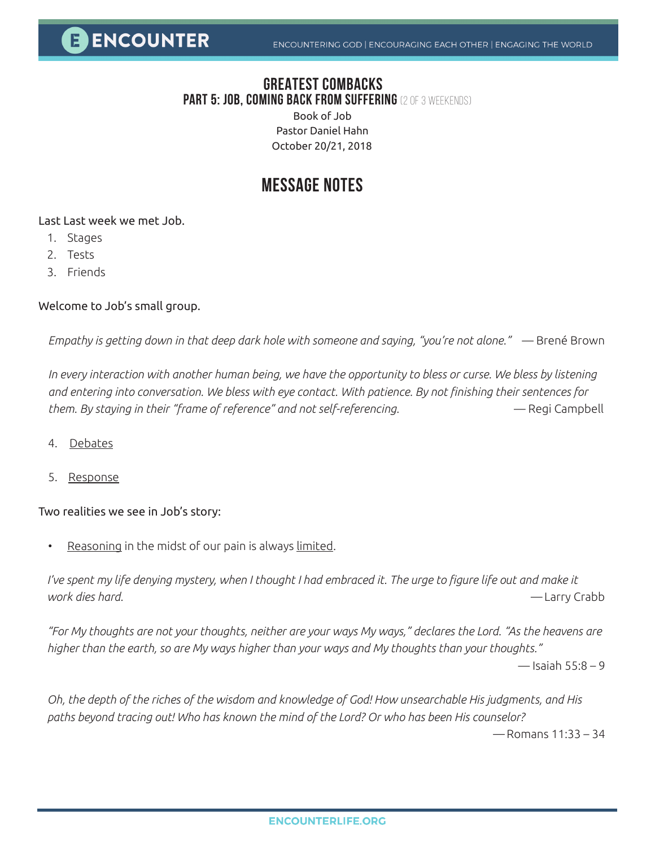### **GREATEST COMBACKS Part 5: job, Coming back from suffering** (2 of 3 weekends)

Book of Job Pastor Daniel Hahn October 20/21, 2018

## **MESSAGE NOTES**

Last Last week we met Job.

- 1. Stages
- 2. Tests
- 3. Friends

#### Welcome to Job's small group.

*Empathy is getting down in that deep dark hole with someone and saying, "you're not alone."* — Brené Brown

*In every interaction with another human being, we have the opportunity to bless or curse. We bless by listening and entering into conversation. We bless with eye contact. With patience. By not finishing their sentences for them. By staying in their "frame of reference" and not self-referencing.* — Regi Campbell

- 4. Debates
- 5. Response

#### Two realities we see in Job's story:

Reasoning in the midst of our pain is always limited.

I've spent my life denying mystery, when I thought I had embraced it. The urge to figure life out and make it *work dies hard. —* Larry Crabb

*"For My thoughts are not your thoughts, neither are your ways My ways," declares the Lord. "As the heavens are higher than the earth, so are My ways higher than your ways and My thoughts than your thoughts."*

 $-$  Isaiah 55:8 – 9

*Oh, the depth of the riches of the wisdom and knowledge of God! How unsearchable His judgments, and His paths beyond tracing out! Who has known the mind of the Lord? Or who has been His counselor?* 

*—* Romans 11:33 – 34